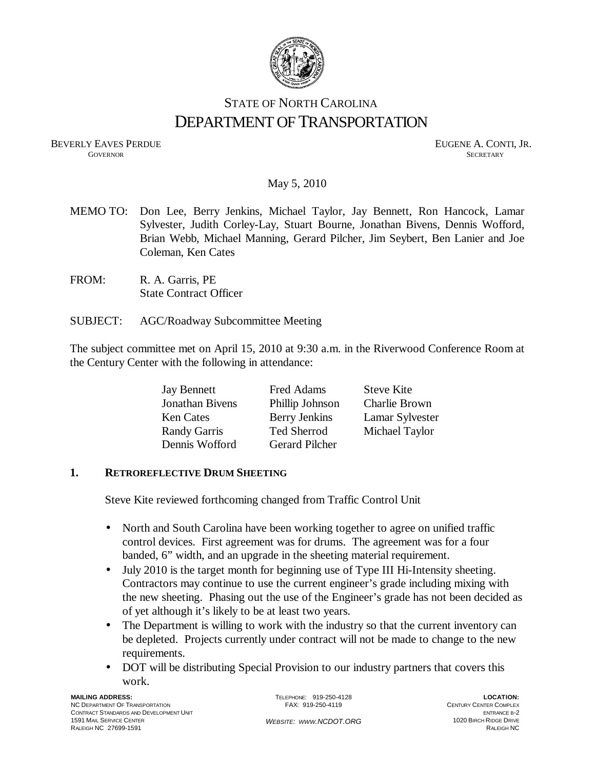

# STATE OF NORTH CAROLINA DEPARTMENT OF TRANSPORTATION

BEVERLY EAVES PERDUE GOVERNOR GOVERNOR SECRETARY **GOVERNOR SECRETARY** SECRETARY

### May 5, 2010

- MEMO TO: Don Lee, Berry Jenkins, Michael Taylor, Jay Bennett, Ron Hancock, Lamar Sylvester, Judith Corley-Lay, Stuart Bourne, Jonathan Bivens, Dennis Wofford, Brian Webb, Michael Manning, Gerard Pilcher, Jim Seybert, Ben Lanier and Joe Coleman, Ken Cates
- FROM: R. A. Garris, PE State Contract Officer
- SUBJECT: AGC/Roadway Subcommittee Meeting

The subject committee met on April 15, 2010 at 9:30 a.m. in the Riverwood Conference Room at the Century Center with the following in attendance:

| <b>Jay Bennett</b>  | Fred Adams            | <b>Steve Kite</b> |
|---------------------|-----------------------|-------------------|
| Jonathan Bivens     | Phillip Johnson       | Charlie Brown     |
| <b>Ken Cates</b>    | <b>Berry Jenkins</b>  | Lamar Sylvester   |
| <b>Randy Garris</b> | Ted Sherrod           | Michael Taylor    |
| Dennis Wofford      | <b>Gerard Pilcher</b> |                   |

#### **1. RETROREFLECTIVE DRUM SHEETING**

Steve Kite reviewed forthcoming changed from Traffic Control Unit

- North and South Carolina have been working together to agree on unified traffic control devices. First agreement was for drums. The agreement was for a four banded, 6" width, and an upgrade in the sheeting material requirement.
- July 2010 is the target month for beginning use of Type III Hi-Intensity sheeting. Contractors may continue to use the current engineer's grade including mixing with the new sheeting. Phasing out the use of the Engineer's grade has not been decided as of yet although it's likely to be at least two years.
- The Department is willing to work with the industry so that the current inventory can be depleted. Projects currently under contract will not be made to change to the new requirements.
- DOT will be distributing Special Provision to our industry partners that covers this work.

TELEPHONE: 919-250-4128 FAX: 919-250-4119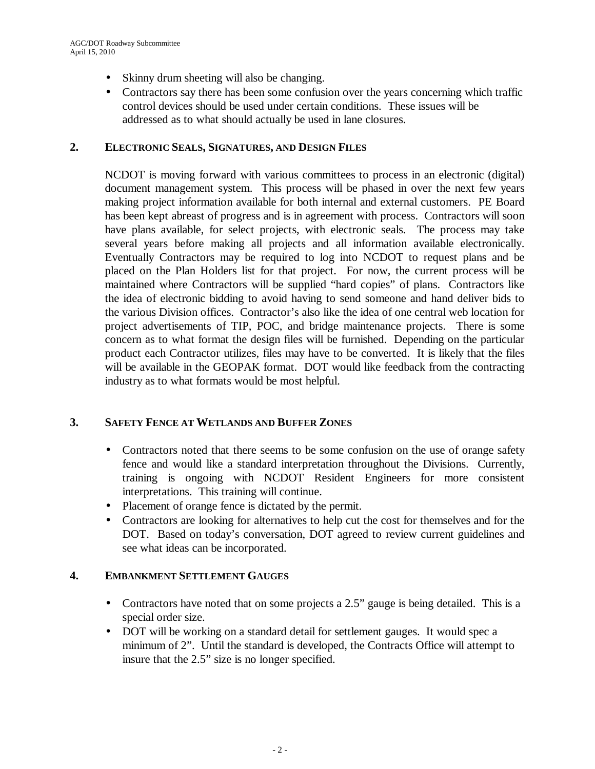- Skinny drum sheeting will also be changing.
- Contractors say there has been some confusion over the years concerning which traffic control devices should be used under certain conditions. These issues will be addressed as to what should actually be used in lane closures.

#### **2. ELECTRONIC SEALS, SIGNATURES, AND DESIGN FILES**

NCDOT is moving forward with various committees to process in an electronic (digital) document management system. This process will be phased in over the next few years making project information available for both internal and external customers. PE Board has been kept abreast of progress and is in agreement with process. Contractors will soon have plans available, for select projects, with electronic seals. The process may take several years before making all projects and all information available electronically. Eventually Contractors may be required to log into NCDOT to request plans and be placed on the Plan Holders list for that project. For now, the current process will be maintained where Contractors will be supplied "hard copies" of plans. Contractors like the idea of electronic bidding to avoid having to send someone and hand deliver bids to the various Division offices. Contractor's also like the idea of one central web location for project advertisements of TIP, POC, and bridge maintenance projects. There is some concern as to what format the design files will be furnished. Depending on the particular product each Contractor utilizes, files may have to be converted. It is likely that the files will be available in the GEOPAK format. DOT would like feedback from the contracting industry as to what formats would be most helpful.

## **3. SAFETY FENCE AT WETLANDS AND BUFFER ZONES**

- Contractors noted that there seems to be some confusion on the use of orange safety fence and would like a standard interpretation throughout the Divisions. Currently, training is ongoing with NCDOT Resident Engineers for more consistent interpretations. This training will continue.
- Placement of orange fence is dictated by the permit.
- Contractors are looking for alternatives to help cut the cost for themselves and for the DOT. Based on today's conversation, DOT agreed to review current guidelines and see what ideas can be incorporated.

### **4. EMBANKMENT SETTLEMENT GAUGES**

- Contractors have noted that on some projects a 2.5" gauge is being detailed. This is a special order size.
- DOT will be working on a standard detail for settlement gauges. It would spec a minimum of 2". Until the standard is developed, the Contracts Office will attempt to insure that the 2.5" size is no longer specified.